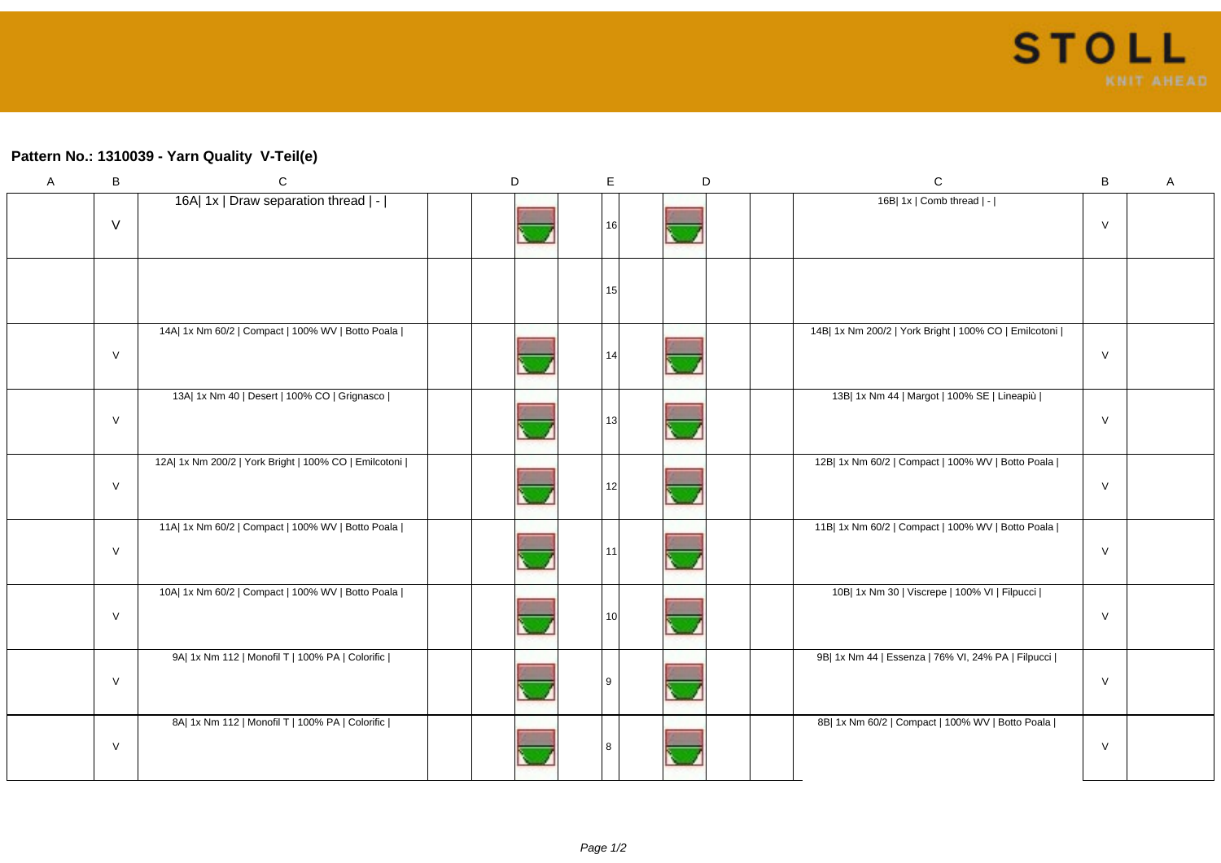## **Pattern No.: 1310039 - Yarn Quality V-Teil(e)**

| $\boldsymbol{\mathsf{A}}$ | $\sf B$ | ${\bf C}$                                             | D | $\mathsf E$ |                 | D | ${\bf C}$                                             | $\sf B$ | A |
|---------------------------|---------|-------------------------------------------------------|---|-------------|-----------------|---|-------------------------------------------------------|---------|---|
|                           | $\vee$  | 16A  1x   Draw separation thread   -                  |   |             | 16 <sup>1</sup> |   | 16B  1x   Comb thread   -                             | $\vee$  |   |
|                           |         |                                                       |   |             | 15              |   |                                                       |         |   |
|                           | $\vee$  | 14A  1x Nm 60/2   Compact   100% WV   Botto Poala     |   |             | 14              |   | 14B  1x Nm 200/2   York Bright   100% CO   Emilcotoni | $\vee$  |   |
|                           | $\vee$  | 13A  1x Nm 40   Desert   100% CO   Grignasco          |   |             | 13 <sup>1</sup> |   | 13B  1x Nm 44   Margot   100% SE   Lineapiù           | $\vee$  |   |
|                           | $\vee$  | 12A  1x Nm 200/2   York Bright   100% CO   Emilcotoni |   |             | 12 <sub>1</sub> |   | 12B  1x Nm 60/2   Compact   100% WV   Botto Poala     | $\vee$  |   |
|                           | $\vee$  | 11A  1x Nm 60/2   Compact   100% WV   Botto Poala     |   |             | 11              |   | 11B  1x Nm 60/2   Compact   100% WV   Botto Poala     | $\vee$  |   |
|                           | $\vee$  | 10A  1x Nm 60/2   Compact   100% WV   Botto Poala     |   |             | 10 <sup>1</sup> |   | 10B  1x Nm 30   Viscrepe   100% VI   Filpucci         | $\vee$  |   |
|                           | $\vee$  | 9A  1x Nm 112   Monofil T   100% PA   Colorific       |   | q           |                 |   | 9B  1x Nm 44   Essenza   76% VI, 24% PA   Filpucci    | $\vee$  |   |
|                           | $\vee$  | 8A  1x Nm 112   Monofil T   100% PA   Colorific       |   | 8           |                 |   | 8B  1x Nm 60/2   Compact   100% WV   Botto Poala      | $\vee$  |   |